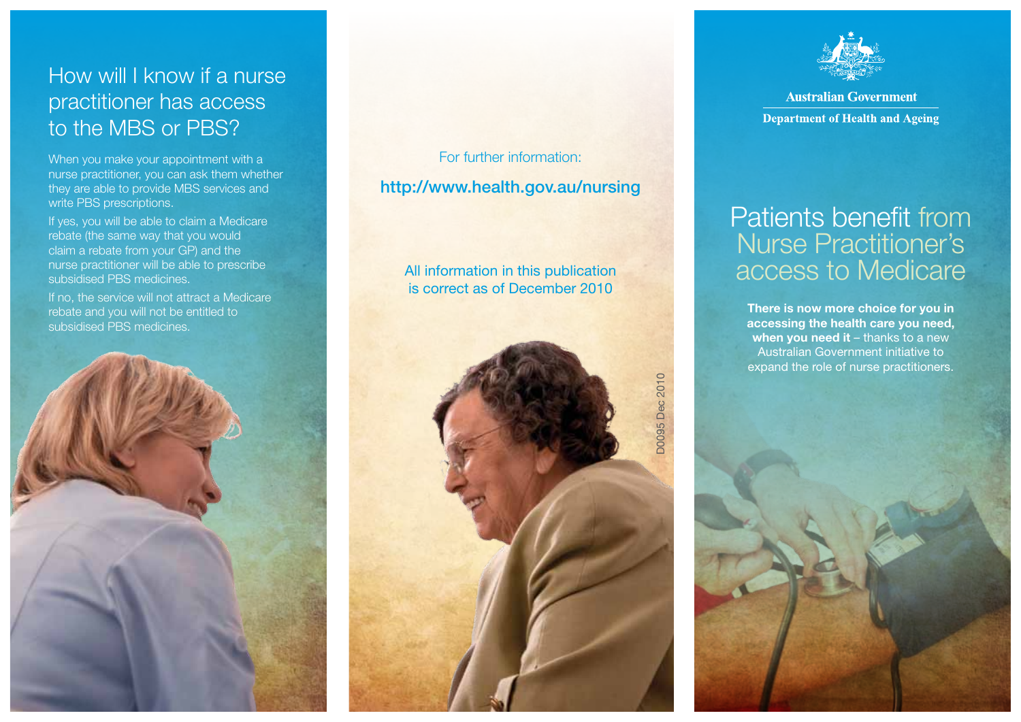## How will I know if a nurse practitioner has access to the MBS or PBS?

When you make your appointment with a nurse practitioner, you can ask them whether they are able to provide MBS services and write PBS prescriptions.

If yes, you will be able to claim a Medicare rebate (the same way that you would claim a rebate from your GP) and the nurse practitioner will be able to prescribe subsidised PBS medicines.

If no, the service will not attract a Medicare rebate and you will not be entitled to subsidised PBS medicines.



For further information: http://www.health.gov.au/nursing

All information in this publication is correct as of December 2010





**Australian Government Department of Health and Ageing** 

## Patients benefit from Nurse Practitioner's access to Medicare

There is now more choice for you in accessing the health care you need, when you need it  $-$  thanks to a new Australian Government initiative to expand the role of nurse practitioners.